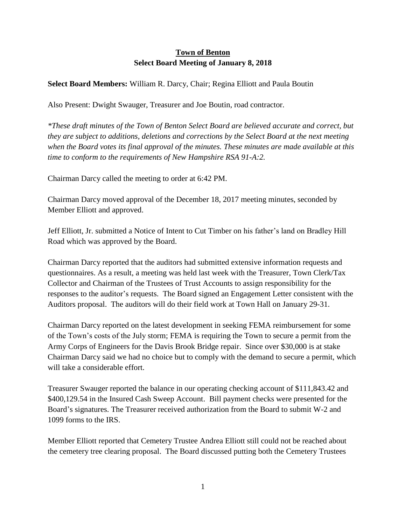## **Town of Benton Select Board Meeting of January 8, 2018**

## **Select Board Members:** William R. Darcy, Chair; Regina Elliott and Paula Boutin

Also Present: Dwight Swauger, Treasurer and Joe Boutin, road contractor.

*\*These draft minutes of the Town of Benton Select Board are believed accurate and correct, but they are subject to additions, deletions and corrections by the Select Board at the next meeting when the Board votes its final approval of the minutes. These minutes are made available at this time to conform to the requirements of New Hampshire RSA 91-A:2.*

Chairman Darcy called the meeting to order at 6:42 PM.

Chairman Darcy moved approval of the December 18, 2017 meeting minutes, seconded by Member Elliott and approved.

Jeff Elliott, Jr. submitted a Notice of Intent to Cut Timber on his father's land on Bradley Hill Road which was approved by the Board.

Chairman Darcy reported that the auditors had submitted extensive information requests and questionnaires. As a result, a meeting was held last week with the Treasurer, Town Clerk/Tax Collector and Chairman of the Trustees of Trust Accounts to assign responsibility for the responses to the auditor's requests. The Board signed an Engagement Letter consistent with the Auditors proposal. The auditors will do their field work at Town Hall on January 29-31.

Chairman Darcy reported on the latest development in seeking FEMA reimbursement for some of the Town's costs of the July storm; FEMA is requiring the Town to secure a permit from the Army Corps of Engineers for the Davis Brook Bridge repair. Since over \$30,000 is at stake Chairman Darcy said we had no choice but to comply with the demand to secure a permit, which will take a considerable effort.

Treasurer Swauger reported the balance in our operating checking account of \$111,843.42 and \$400,129.54 in the Insured Cash Sweep Account. Bill payment checks were presented for the Board's signatures. The Treasurer received authorization from the Board to submit W-2 and 1099 forms to the IRS.

Member Elliott reported that Cemetery Trustee Andrea Elliott still could not be reached about the cemetery tree clearing proposal. The Board discussed putting both the Cemetery Trustees